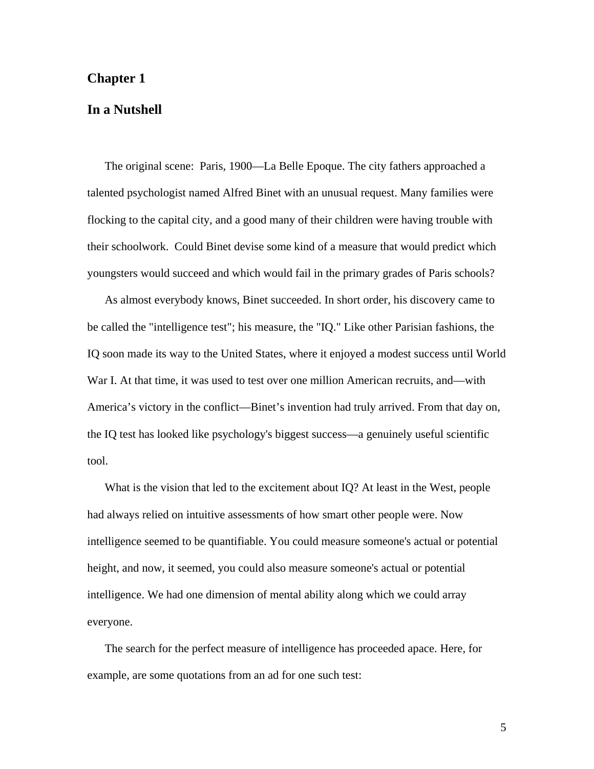# **Chapter 1**

# **In a Nutshell**

The original scene: Paris, 1900—La Belle Epoque. The city fathers approached a talented psychologist named Alfred Binet with an unusual request. Many families were flocking to the capital city, and a good many of their children were having trouble with their schoolwork. Could Binet devise some kind of a measure that would predict which youngsters would succeed and which would fail in the primary grades of Paris schools?

As almost everybody knows, Binet succeeded. In short order, his discovery came to be called the "intelligence test"; his measure, the "IQ." Like other Parisian fashions, the IQ soon made its way to the United States, where it enjoyed a modest success until World War I. At that time, it was used to test over one million American recruits, and—with America's victory in the conflict—Binet's invention had truly arrived. From that day on, the IQ test has looked like psychology's biggest success—a genuinely useful scientific tool.

What is the vision that led to the excitement about IQ? At least in the West, people had always relied on intuitive assessments of how smart other people were. Now intelligence seemed to be quantifiable. You could measure someone's actual or potential height, and now, it seemed, you could also measure someone's actual or potential intelligence. We had one dimension of mental ability along which we could array everyone.

The search for the perfect measure of intelligence has proceeded apace. Here, for example, are some quotations from an ad for one such test: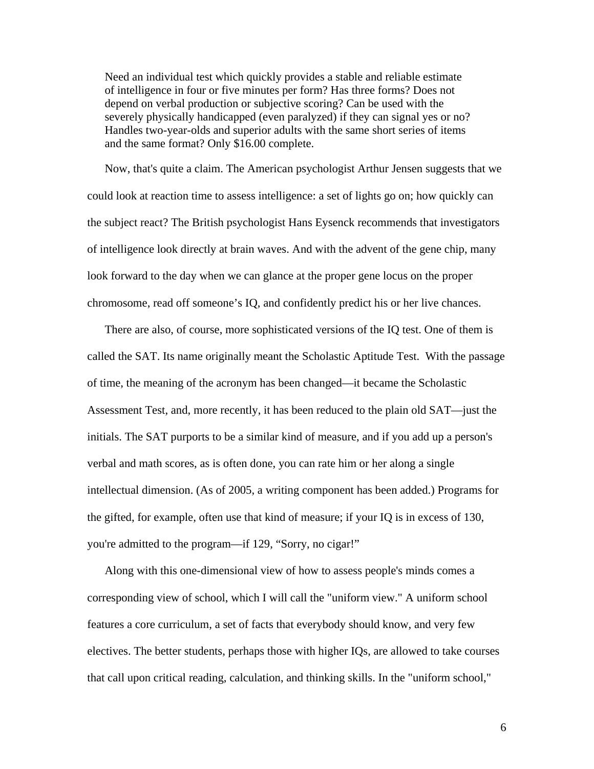Need an individual test which quickly provides a stable and reliable estimate of intelligence in four or five minutes per form? Has three forms? Does not depend on verbal production or subjective scoring? Can be used with the severely physically handicapped (even paralyzed) if they can signal yes or no? Handles two-year-olds and superior adults with the same short series of items and the same format? Only \$16.00 complete.

Now, that's quite a claim. The American psychologist Arthur Jensen suggests that we could look at reaction time to assess intelligence: a set of lights go on; how quickly can the subject react? The British psychologist Hans Eysenck recommends that investigators of intelligence look directly at brain waves. And with the advent of the gene chip, many look forward to the day when we can glance at the proper gene locus on the proper chromosome, read off someone's IQ, and confidently predict his or her live chances.

There are also, of course, more sophisticated versions of the IQ test. One of them is called the SAT. Its name originally meant the Scholastic Aptitude Test. With the passage of time, the meaning of the acronym has been changed—it became the Scholastic Assessment Test, and, more recently, it has been reduced to the plain old SAT—just the initials. The SAT purports to be a similar kind of measure, and if you add up a person's verbal and math scores, as is often done, you can rate him or her along a single intellectual dimension. (As of 2005, a writing component has been added.) Programs for the gifted, for example, often use that kind of measure; if your IQ is in excess of 130, you're admitted to the program—if 129, "Sorry, no cigar!"

Along with this one-dimensional view of how to assess people's minds comes a corresponding view of school, which I will call the "uniform view." A uniform school features a core curriculum, a set of facts that everybody should know, and very few electives. The better students, perhaps those with higher IQs, are allowed to take courses that call upon critical reading, calculation, and thinking skills. In the "uniform school,"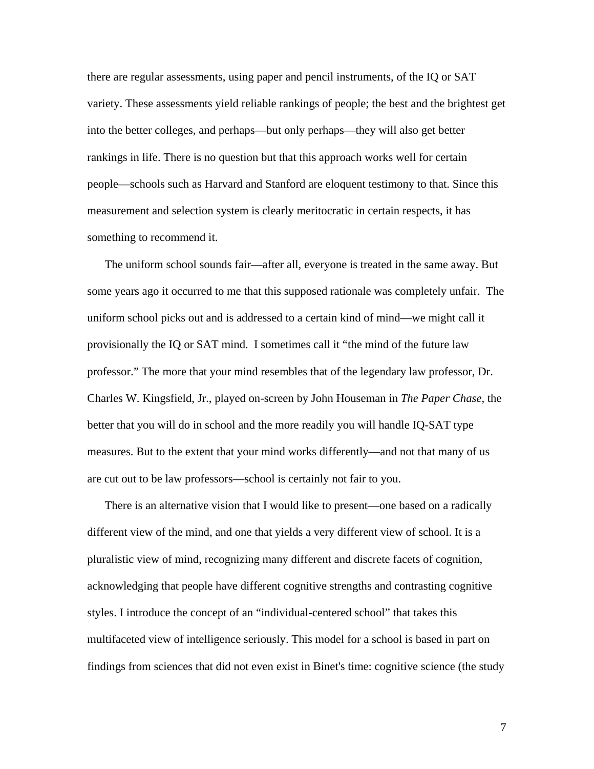there are regular assessments, using paper and pencil instruments, of the IQ or SAT variety. These assessments yield reliable rankings of people; the best and the brightest get into the better colleges, and perhaps—but only perhaps—they will also get better rankings in life. There is no question but that this approach works well for certain people—schools such as Harvard and Stanford are eloquent testimony to that. Since this measurement and selection system is clearly meritocratic in certain respects, it has something to recommend it.

The uniform school sounds fair—after all, everyone is treated in the same away. But some years ago it occurred to me that this supposed rationale was completely unfair. The uniform school picks out and is addressed to a certain kind of mind—we might call it provisionally the IQ or SAT mind. I sometimes call it "the mind of the future law professor." The more that your mind resembles that of the legendary law professor, Dr. Charles W. Kingsfield, Jr., played on-screen by John Houseman in *The Paper Chase*, the better that you will do in school and the more readily you will handle IQ-SAT type measures. But to the extent that your mind works differently—and not that many of us are cut out to be law professors—school is certainly not fair to you.

There is an alternative vision that I would like to present—one based on a radically different view of the mind, and one that yields a very different view of school. It is a pluralistic view of mind, recognizing many different and discrete facets of cognition, acknowledging that people have different cognitive strengths and contrasting cognitive styles. I introduce the concept of an "individual-centered school" that takes this multifaceted view of intelligence seriously. This model for a school is based in part on findings from sciences that did not even exist in Binet's time: cognitive science (the study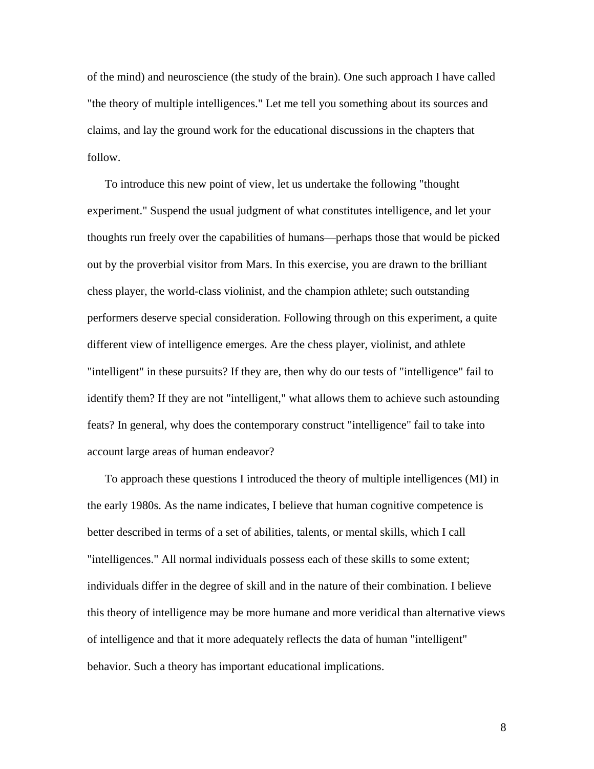of the mind) and neuroscience (the study of the brain). One such approach I have called "the theory of multiple intelligences." Let me tell you something about its sources and claims, and lay the ground work for the educational discussions in the chapters that follow.

To introduce this new point of view, let us undertake the following "thought experiment." Suspend the usual judgment of what constitutes intelligence, and let your thoughts run freely over the capabilities of humans—perhaps those that would be picked out by the proverbial visitor from Mars. In this exercise, you are drawn to the brilliant chess player, the world-class violinist, and the champion athlete; such outstanding performers deserve special consideration. Following through on this experiment, a quite different view of intelligence emerges. Are the chess player, violinist, and athlete "intelligent" in these pursuits? If they are, then why do our tests of "intelligence" fail to identify them? If they are not "intelligent," what allows them to achieve such astounding feats? In general, why does the contemporary construct "intelligence" fail to take into account large areas of human endeavor?

To approach these questions I introduced the theory of multiple intelligences (MI) in the early 1980s. As the name indicates, I believe that human cognitive competence is better described in terms of a set of abilities, talents, or mental skills, which I call "intelligences." All normal individuals possess each of these skills to some extent; individuals differ in the degree of skill and in the nature of their combination. I believe this theory of intelligence may be more humane and more veridical than alternative views of intelligence and that it more adequately reflects the data of human "intelligent" behavior. Such a theory has important educational implications.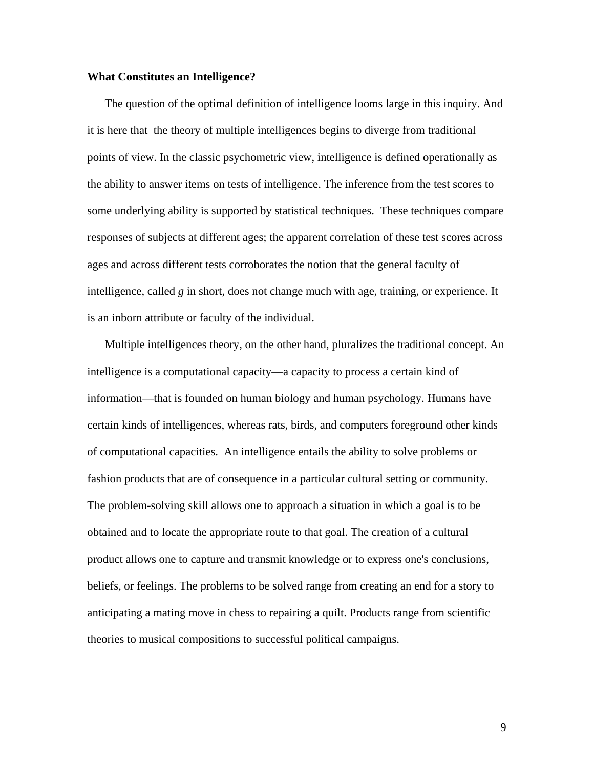#### **What Constitutes an Intelligence?**

The question of the optimal definition of intelligence looms large in this inquiry. And it is here that the theory of multiple intelligences begins to diverge from traditional points of view. In the classic psychometric view, intelligence is defined operationally as the ability to answer items on tests of intelligence. The inference from the test scores to some underlying ability is supported by statistical techniques. These techniques compare responses of subjects at different ages; the apparent correlation of these test scores across ages and across different tests corroborates the notion that the general faculty of intelligence, called *g* in short, does not change much with age, training, or experience. It is an inborn attribute or faculty of the individual.

Multiple intelligences theory, on the other hand, pluralizes the traditional concept. An intelligence is a computational capacity—a capacity to process a certain kind of information—that is founded on human biology and human psychology. Humans have certain kinds of intelligences, whereas rats, birds, and computers foreground other kinds of computational capacities. An intelligence entails the ability to solve problems or fashion products that are of consequence in a particular cultural setting or community. The problem-solving skill allows one to approach a situation in which a goal is to be obtained and to locate the appropriate route to that goal. The creation of a cultural product allows one to capture and transmit knowledge or to express one's conclusions, beliefs, or feelings. The problems to be solved range from creating an end for a story to anticipating a mating move in chess to repairing a quilt. Products range from scientific theories to musical compositions to successful political campaigns.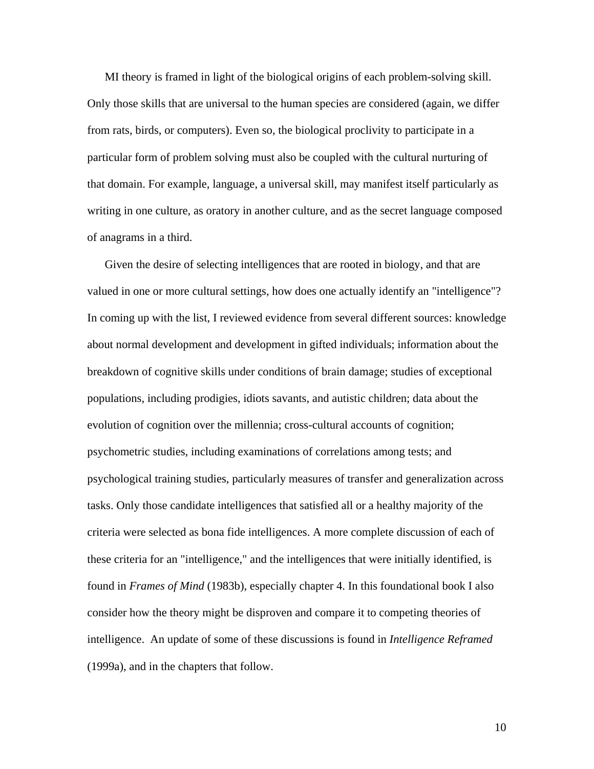MI theory is framed in light of the biological origins of each problem-solving skill. Only those skills that are universal to the human species are considered (again, we differ from rats, birds, or computers). Even so, the biological proclivity to participate in a particular form of problem solving must also be coupled with the cultural nurturing of that domain. For example, language, a universal skill, may manifest itself particularly as writing in one culture, as oratory in another culture, and as the secret language composed of anagrams in a third.

Given the desire of selecting intelligences that are rooted in biology, and that are valued in one or more cultural settings, how does one actually identify an "intelligence"? In coming up with the list, I reviewed evidence from several different sources: knowledge about normal development and development in gifted individuals; information about the breakdown of cognitive skills under conditions of brain damage; studies of exceptional populations, including prodigies, idiots savants, and autistic children; data about the evolution of cognition over the millennia; cross-cultural accounts of cognition; psychometric studies, including examinations of correlations among tests; and psychological training studies, particularly measures of transfer and generalization across tasks. Only those candidate intelligences that satisfied all or a healthy majority of the criteria were selected as bona fide intelligences. A more complete discussion of each of these criteria for an "intelligence," and the intelligences that were initially identified, is found in *Frames of Mind* (1983b), especially chapter 4. In this foundational book I also consider how the theory might be disproven and compare it to competing theories of intelligence. An update of some of these discussions is found in *Intelligence Reframed* (1999a), and in the chapters that follow.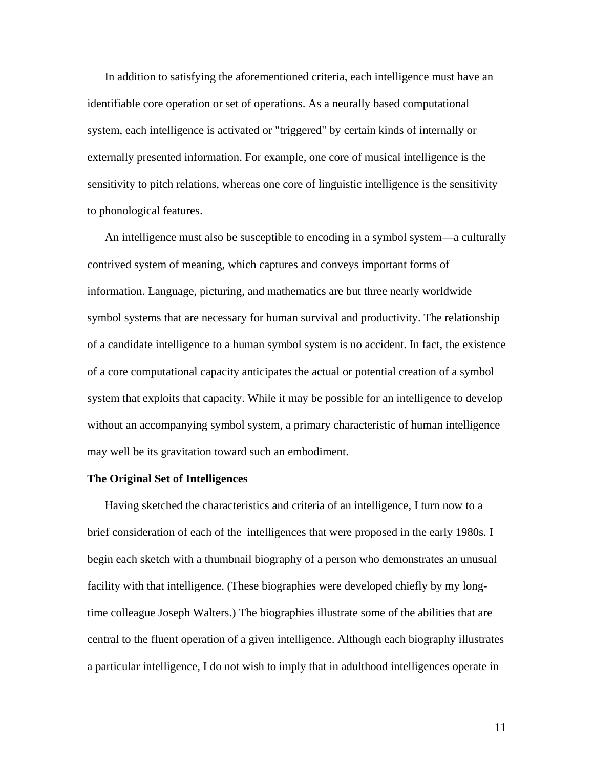In addition to satisfying the aforementioned criteria, each intelligence must have an identifiable core operation or set of operations. As a neurally based computational system, each intelligence is activated or "triggered" by certain kinds of internally or externally presented information. For example, one core of musical intelligence is the sensitivity to pitch relations, whereas one core of linguistic intelligence is the sensitivity to phonological features.

An intelligence must also be susceptible to encoding in a symbol system—a culturally contrived system of meaning, which captures and conveys important forms of information. Language, picturing, and mathematics are but three nearly worldwide symbol systems that are necessary for human survival and productivity. The relationship of a candidate intelligence to a human symbol system is no accident. In fact, the existence of a core computational capacity anticipates the actual or potential creation of a symbol system that exploits that capacity. While it may be possible for an intelligence to develop without an accompanying symbol system, a primary characteristic of human intelligence may well be its gravitation toward such an embodiment.

# **The Original Set of Intelligences**

Having sketched the characteristics and criteria of an intelligence, I turn now to a brief consideration of each of the intelligences that were proposed in the early 1980s. I begin each sketch with a thumbnail biography of a person who demonstrates an unusual facility with that intelligence. (These biographies were developed chiefly by my longtime colleague Joseph Walters.) The biographies illustrate some of the abilities that are central to the fluent operation of a given intelligence. Although each biography illustrates a particular intelligence, I do not wish to imply that in adulthood intelligences operate in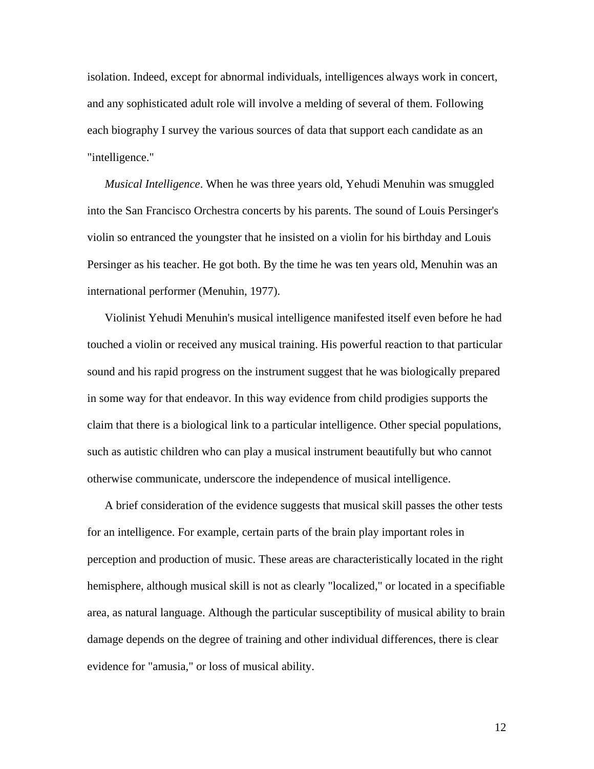isolation. Indeed, except for abnormal individuals, intelligences always work in concert, and any sophisticated adult role will involve a melding of several of them. Following each biography I survey the various sources of data that support each candidate as an "intelligence."

*Musical Intelligence*. When he was three years old, Yehudi Menuhin was smuggled into the San Francisco Orchestra concerts by his parents. The sound of Louis Persinger's violin so entranced the youngster that he insisted on a violin for his birthday and Louis Persinger as his teacher. He got both. By the time he was ten years old, Menuhin was an international performer (Menuhin, 1977).

Violinist Yehudi Menuhin's musical intelligence manifested itself even before he had touched a violin or received any musical training. His powerful reaction to that particular sound and his rapid progress on the instrument suggest that he was biologically prepared in some way for that endeavor. In this way evidence from child prodigies supports the claim that there is a biological link to a particular intelligence. Other special populations, such as autistic children who can play a musical instrument beautifully but who cannot otherwise communicate, underscore the independence of musical intelligence.

A brief consideration of the evidence suggests that musical skill passes the other tests for an intelligence. For example, certain parts of the brain play important roles in perception and production of music. These areas are characteristically located in the right hemisphere, although musical skill is not as clearly "localized," or located in a specifiable area, as natural language. Although the particular susceptibility of musical ability to brain damage depends on the degree of training and other individual differences, there is clear evidence for "amusia," or loss of musical ability.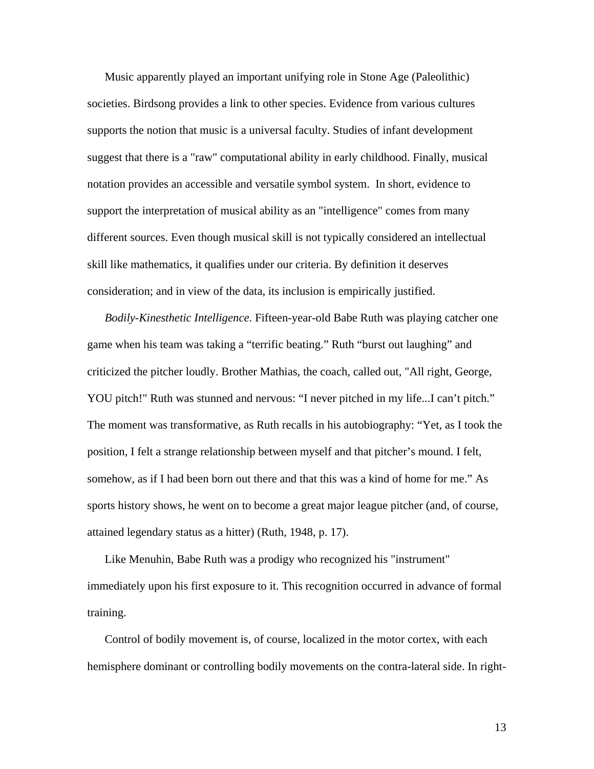Music apparently played an important unifying role in Stone Age (Paleolithic) societies. Birdsong provides a link to other species. Evidence from various cultures supports the notion that music is a universal faculty. Studies of infant development suggest that there is a "raw" computational ability in early childhood. Finally, musical notation provides an accessible and versatile symbol system. In short, evidence to support the interpretation of musical ability as an "intelligence" comes from many different sources. Even though musical skill is not typically considered an intellectual skill like mathematics, it qualifies under our criteria. By definition it deserves consideration; and in view of the data, its inclusion is empirically justified.

*Bodily-Kinesthetic Intelligence*. Fifteen-year-old Babe Ruth was playing catcher one game when his team was taking a "terrific beating." Ruth "burst out laughing" and criticized the pitcher loudly. Brother Mathias, the coach, called out, "All right, George, YOU pitch!" Ruth was stunned and nervous: "I never pitched in my life...I can't pitch." The moment was transformative, as Ruth recalls in his autobiography: "Yet, as I took the position, I felt a strange relationship between myself and that pitcher's mound. I felt, somehow, as if I had been born out there and that this was a kind of home for me." As sports history shows, he went on to become a great major league pitcher (and, of course, attained legendary status as a hitter) (Ruth, 1948, p. 17).

Like Menuhin, Babe Ruth was a prodigy who recognized his "instrument" immediately upon his first exposure to it. This recognition occurred in advance of formal training.

Control of bodily movement is, of course, localized in the motor cortex, with each hemisphere dominant or controlling bodily movements on the contra-lateral side. In right-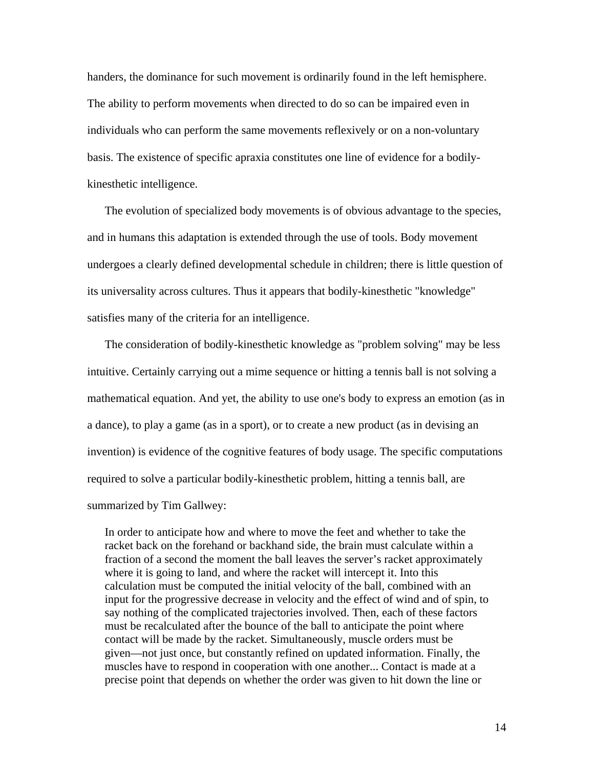handers, the dominance for such movement is ordinarily found in the left hemisphere. The ability to perform movements when directed to do so can be impaired even in individuals who can perform the same movements reflexively or on a non-voluntary basis. The existence of specific apraxia constitutes one line of evidence for a bodilykinesthetic intelligence.

The evolution of specialized body movements is of obvious advantage to the species, and in humans this adaptation is extended through the use of tools. Body movement undergoes a clearly defined developmental schedule in children; there is little question of its universality across cultures. Thus it appears that bodily-kinesthetic "knowledge" satisfies many of the criteria for an intelligence.

The consideration of bodily-kinesthetic knowledge as "problem solving" may be less intuitive. Certainly carrying out a mime sequence or hitting a tennis ball is not solving a mathematical equation. And yet, the ability to use one's body to express an emotion (as in a dance), to play a game (as in a sport), or to create a new product (as in devising an invention) is evidence of the cognitive features of body usage. The specific computations required to solve a particular bodily-kinesthetic problem, hitting a tennis ball, are summarized by Tim Gallwey:

In order to anticipate how and where to move the feet and whether to take the racket back on the forehand or backhand side, the brain must calculate within a fraction of a second the moment the ball leaves the server's racket approximately where it is going to land, and where the racket will intercept it. Into this calculation must be computed the initial velocity of the ball, combined with an input for the progressive decrease in velocity and the effect of wind and of spin, to say nothing of the complicated trajectories involved. Then, each of these factors must be recalculated after the bounce of the ball to anticipate the point where contact will be made by the racket. Simultaneously, muscle orders must be given—not just once, but constantly refined on updated information. Finally, the muscles have to respond in cooperation with one another... Contact is made at a precise point that depends on whether the order was given to hit down the line or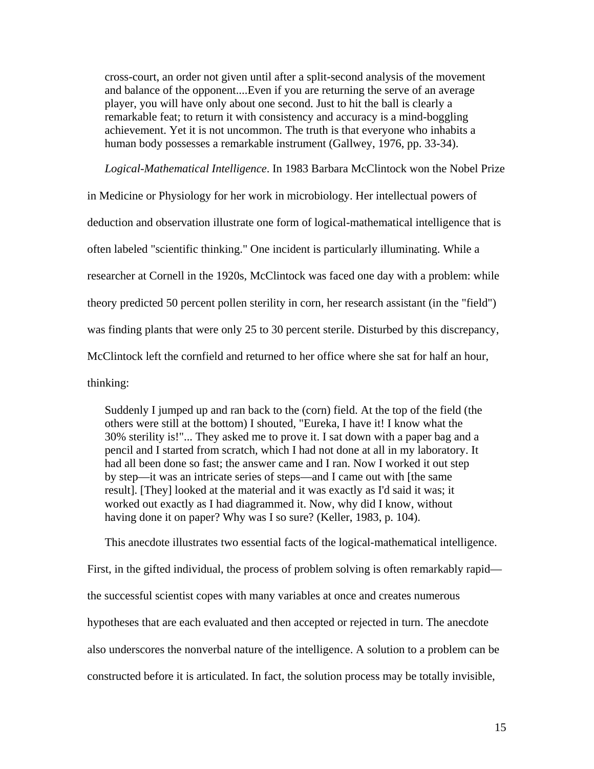cross-court, an order not given until after a split-second analysis of the movement and balance of the opponent....Even if you are returning the serve of an average player, you will have only about one second. Just to hit the ball is clearly a remarkable feat; to return it with consistency and accuracy is a mind-boggling achievement. Yet it is not uncommon. The truth is that everyone who inhabits a human body possesses a remarkable instrument (Gallwey, 1976, pp. 33-34).

*Logical-Mathematical Intelligence*. In 1983 Barbara McClintock won the Nobel Prize

in Medicine or Physiology for her work in microbiology. Her intellectual powers of deduction and observation illustrate one form of logical-mathematical intelligence that is often labeled "scientific thinking." One incident is particularly illuminating. While a researcher at Cornell in the 1920s, McClintock was faced one day with a problem: while theory predicted 50 percent pollen sterility in corn, her research assistant (in the "field") was finding plants that were only 25 to 30 percent sterile. Disturbed by this discrepancy, McClintock left the cornfield and returned to her office where she sat for half an hour, thinking:

Suddenly I jumped up and ran back to the (corn) field. At the top of the field (the others were still at the bottom) I shouted, "Eureka, I have it! I know what the 30% sterility is!"... They asked me to prove it. I sat down with a paper bag and a pencil and I started from scratch, which I had not done at all in my laboratory. It had all been done so fast; the answer came and I ran. Now I worked it out step by step—it was an intricate series of steps—and I came out with [the same result]. [They] looked at the material and it was exactly as I'd said it was; it worked out exactly as I had diagrammed it. Now, why did I know, without having done it on paper? Why was I so sure? (Keller, 1983, p. 104).

This anecdote illustrates two essential facts of the logical-mathematical intelligence. First, in the gifted individual, the process of problem solving is often remarkably rapid the successful scientist copes with many variables at once and creates numerous hypotheses that are each evaluated and then accepted or rejected in turn. The anecdote also underscores the nonverbal nature of the intelligence. A solution to a problem can be constructed before it is articulated. In fact, the solution process may be totally invisible,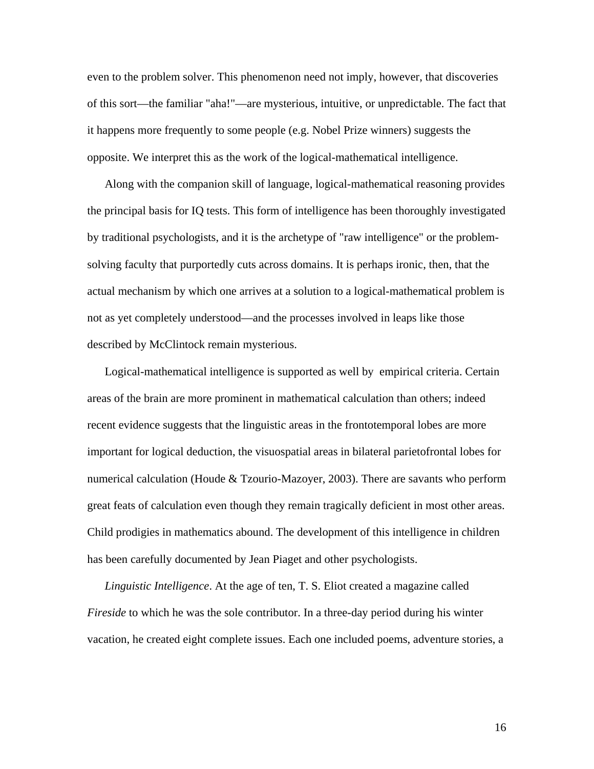even to the problem solver. This phenomenon need not imply, however, that discoveries of this sort—the familiar "aha!"—are mysterious, intuitive, or unpredictable. The fact that it happens more frequently to some people (e.g. Nobel Prize winners) suggests the opposite. We interpret this as the work of the logical-mathematical intelligence.

Along with the companion skill of language, logical-mathematical reasoning provides the principal basis for IQ tests. This form of intelligence has been thoroughly investigated by traditional psychologists, and it is the archetype of "raw intelligence" or the problemsolving faculty that purportedly cuts across domains. It is perhaps ironic, then, that the actual mechanism by which one arrives at a solution to a logical-mathematical problem is not as yet completely understood—and the processes involved in leaps like those described by McClintock remain mysterious.

Logical-mathematical intelligence is supported as well by empirical criteria. Certain areas of the brain are more prominent in mathematical calculation than others; indeed recent evidence suggests that the linguistic areas in the frontotemporal lobes are more important for logical deduction, the visuospatial areas in bilateral parietofrontal lobes for numerical calculation (Houde & Tzourio-Mazoyer, 2003). There are savants who perform great feats of calculation even though they remain tragically deficient in most other areas. Child prodigies in mathematics abound. The development of this intelligence in children has been carefully documented by Jean Piaget and other psychologists.

*Linguistic Intelligence*. At the age of ten, T. S. Eliot created a magazine called *Fireside* to which he was the sole contributor. In a three-day period during his winter vacation, he created eight complete issues. Each one included poems, adventure stories, a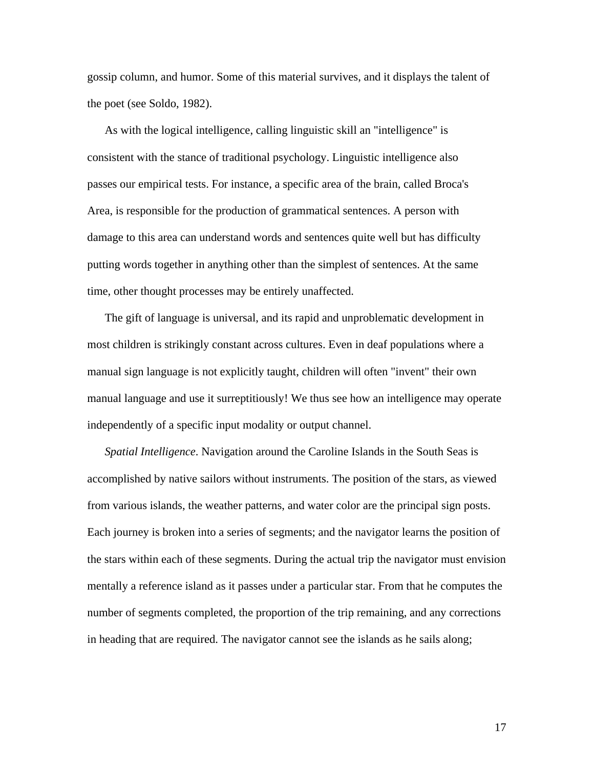gossip column, and humor. Some of this material survives, and it displays the talent of the poet (see Soldo, 1982).

As with the logical intelligence, calling linguistic skill an "intelligence" is consistent with the stance of traditional psychology. Linguistic intelligence also passes our empirical tests. For instance, a specific area of the brain, called Broca's Area, is responsible for the production of grammatical sentences. A person with damage to this area can understand words and sentences quite well but has difficulty putting words together in anything other than the simplest of sentences. At the same time, other thought processes may be entirely unaffected.

The gift of language is universal, and its rapid and unproblematic development in most children is strikingly constant across cultures. Even in deaf populations where a manual sign language is not explicitly taught, children will often "invent" their own manual language and use it surreptitiously! We thus see how an intelligence may operate independently of a specific input modality or output channel.

*Spatial Intelligence*. Navigation around the Caroline Islands in the South Seas is accomplished by native sailors without instruments. The position of the stars, as viewed from various islands, the weather patterns, and water color are the principal sign posts. Each journey is broken into a series of segments; and the navigator learns the position of the stars within each of these segments. During the actual trip the navigator must envision mentally a reference island as it passes under a particular star. From that he computes the number of segments completed, the proportion of the trip remaining, and any corrections in heading that are required. The navigator cannot see the islands as he sails along;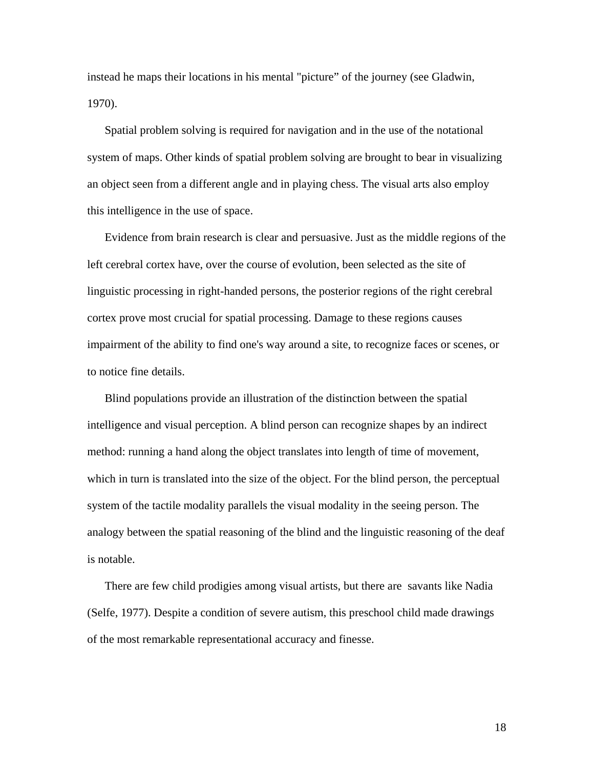instead he maps their locations in his mental "picture" of the journey (see Gladwin, 1970).

Spatial problem solving is required for navigation and in the use of the notational system of maps. Other kinds of spatial problem solving are brought to bear in visualizing an object seen from a different angle and in playing chess. The visual arts also employ this intelligence in the use of space.

Evidence from brain research is clear and persuasive. Just as the middle regions of the left cerebral cortex have, over the course of evolution, been selected as the site of linguistic processing in right-handed persons, the posterior regions of the right cerebral cortex prove most crucial for spatial processing. Damage to these regions causes impairment of the ability to find one's way around a site, to recognize faces or scenes, or to notice fine details.

Blind populations provide an illustration of the distinction between the spatial intelligence and visual perception. A blind person can recognize shapes by an indirect method: running a hand along the object translates into length of time of movement, which in turn is translated into the size of the object. For the blind person, the perceptual system of the tactile modality parallels the visual modality in the seeing person. The analogy between the spatial reasoning of the blind and the linguistic reasoning of the deaf is notable.

There are few child prodigies among visual artists, but there are savants like Nadia (Selfe, 1977). Despite a condition of severe autism, this preschool child made drawings of the most remarkable representational accuracy and finesse.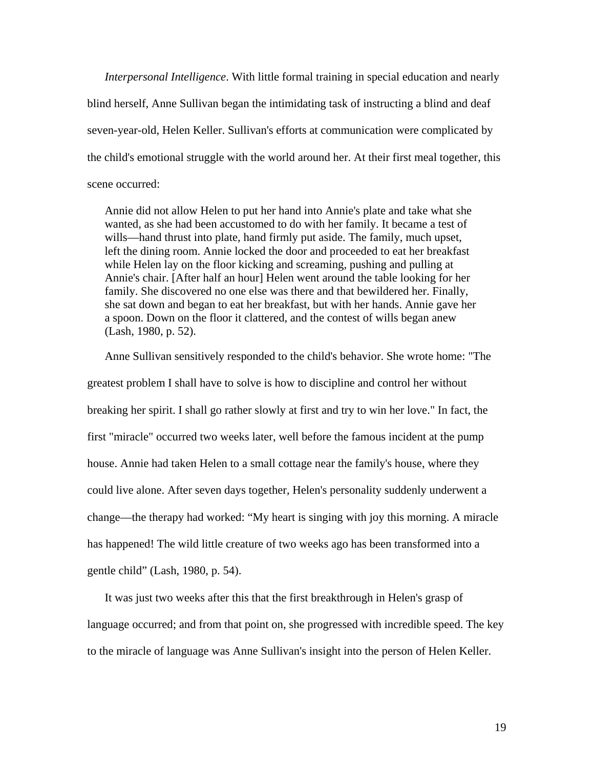*Interpersonal Intelligence*. With little formal training in special education and nearly blind herself, Anne Sullivan began the intimidating task of instructing a blind and deaf seven-year-old, Helen Keller. Sullivan's efforts at communication were complicated by the child's emotional struggle with the world around her. At their first meal together, this scene occurred:

Annie did not allow Helen to put her hand into Annie's plate and take what she wanted, as she had been accustomed to do with her family. It became a test of wills—hand thrust into plate, hand firmly put aside. The family, much upset, left the dining room. Annie locked the door and proceeded to eat her breakfast while Helen lay on the floor kicking and screaming, pushing and pulling at Annie's chair. [After half an hour] Helen went around the table looking for her family. She discovered no one else was there and that bewildered her. Finally, she sat down and began to eat her breakfast, but with her hands. Annie gave her a spoon. Down on the floor it clattered, and the contest of wills began anew (Lash, 1980, p. 52).

Anne Sullivan sensitively responded to the child's behavior. She wrote home: "The greatest problem I shall have to solve is how to discipline and control her without breaking her spirit. I shall go rather slowly at first and try to win her love." In fact, the first "miracle" occurred two weeks later, well before the famous incident at the pump house. Annie had taken Helen to a small cottage near the family's house, where they could live alone. After seven days together, Helen's personality suddenly underwent a change—the therapy had worked: "My heart is singing with joy this morning. A miracle has happened! The wild little creature of two weeks ago has been transformed into a gentle child" (Lash, 1980, p. 54).

It was just two weeks after this that the first breakthrough in Helen's grasp of language occurred; and from that point on, she progressed with incredible speed. The key to the miracle of language was Anne Sullivan's insight into the person of Helen Keller.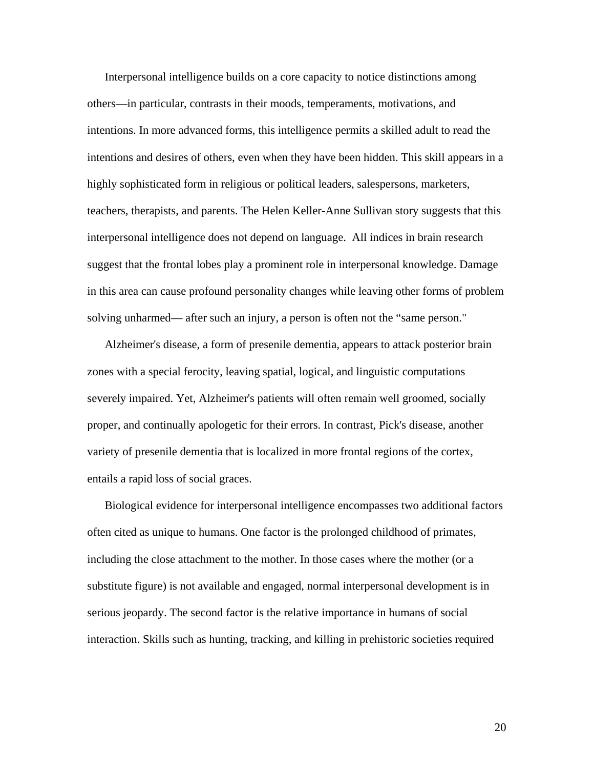Interpersonal intelligence builds on a core capacity to notice distinctions among others—in particular, contrasts in their moods, temperaments, motivations, and intentions. In more advanced forms, this intelligence permits a skilled adult to read the intentions and desires of others, even when they have been hidden. This skill appears in a highly sophisticated form in religious or political leaders, salespersons, marketers, teachers, therapists, and parents. The Helen Keller-Anne Sullivan story suggests that this interpersonal intelligence does not depend on language. All indices in brain research suggest that the frontal lobes play a prominent role in interpersonal knowledge. Damage in this area can cause profound personality changes while leaving other forms of problem solving unharmed— after such an injury, a person is often not the "same person."

Alzheimer's disease, a form of presenile dementia, appears to attack posterior brain zones with a special ferocity, leaving spatial, logical, and linguistic computations severely impaired. Yet, Alzheimer's patients will often remain well groomed, socially proper, and continually apologetic for their errors. In contrast, Pick's disease, another variety of presenile dementia that is localized in more frontal regions of the cortex, entails a rapid loss of social graces.

Biological evidence for interpersonal intelligence encompasses two additional factors often cited as unique to humans. One factor is the prolonged childhood of primates, including the close attachment to the mother. In those cases where the mother (or a substitute figure) is not available and engaged, normal interpersonal development is in serious jeopardy. The second factor is the relative importance in humans of social interaction. Skills such as hunting, tracking, and killing in prehistoric societies required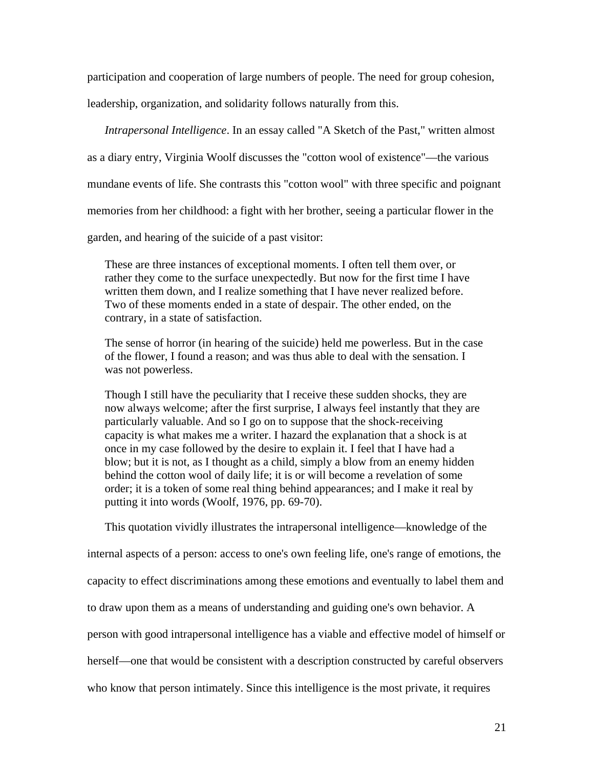participation and cooperation of large numbers of people. The need for group cohesion,

leadership, organization, and solidarity follows naturally from this.

*Intrapersonal Intelligence*. In an essay called "A Sketch of the Past," written almost as a diary entry, Virginia Woolf discusses the "cotton wool of existence"—the various mundane events of life. She contrasts this "cotton wool" with three specific and poignant memories from her childhood: a fight with her brother, seeing a particular flower in the garden, and hearing of the suicide of a past visitor:

These are three instances of exceptional moments. I often tell them over, or rather they come to the surface unexpectedly. But now for the first time I have written them down, and I realize something that I have never realized before. Two of these moments ended in a state of despair. The other ended, on the contrary, in a state of satisfaction.

The sense of horror (in hearing of the suicide) held me powerless. But in the case of the flower, I found a reason; and was thus able to deal with the sensation. I was not powerless.

Though I still have the peculiarity that I receive these sudden shocks, they are now always welcome; after the first surprise, I always feel instantly that they are particularly valuable. And so I go on to suppose that the shock-receiving capacity is what makes me a writer. I hazard the explanation that a shock is at once in my case followed by the desire to explain it. I feel that I have had a blow; but it is not, as I thought as a child, simply a blow from an enemy hidden behind the cotton wool of daily life; it is or will become a revelation of some order; it is a token of some real thing behind appearances; and I make it real by putting it into words (Woolf, 1976, pp. 69-70).

This quotation vividly illustrates the intrapersonal intelligence—knowledge of the internal aspects of a person: access to one's own feeling life, one's range of emotions, the capacity to effect discriminations among these emotions and eventually to label them and to draw upon them as a means of understanding and guiding one's own behavior. A person with good intrapersonal intelligence has a viable and effective model of himself or herself—one that would be consistent with a description constructed by careful observers who know that person intimately. Since this intelligence is the most private, it requires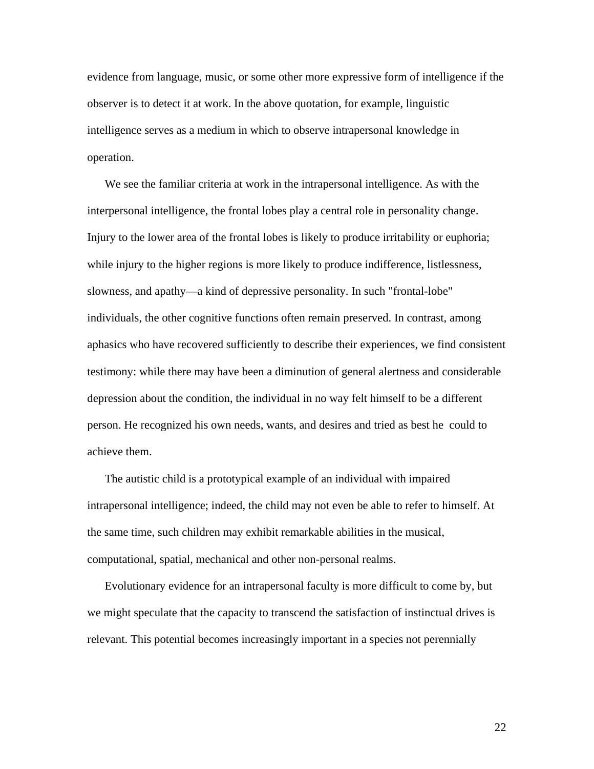evidence from language, music, or some other more expressive form of intelligence if the observer is to detect it at work. In the above quotation, for example, linguistic intelligence serves as a medium in which to observe intrapersonal knowledge in operation.

We see the familiar criteria at work in the intrapersonal intelligence. As with the interpersonal intelligence, the frontal lobes play a central role in personality change. Injury to the lower area of the frontal lobes is likely to produce irritability or euphoria; while injury to the higher regions is more likely to produce indifference, listlessness, slowness, and apathy—a kind of depressive personality. In such "frontal-lobe" individuals, the other cognitive functions often remain preserved. In contrast, among aphasics who have recovered sufficiently to describe their experiences, we find consistent testimony: while there may have been a diminution of general alertness and considerable depression about the condition, the individual in no way felt himself to be a different person. He recognized his own needs, wants, and desires and tried as best he could to achieve them.

The autistic child is a prototypical example of an individual with impaired intrapersonal intelligence; indeed, the child may not even be able to refer to himself. At the same time, such children may exhibit remarkable abilities in the musical, computational, spatial, mechanical and other non-personal realms.

Evolutionary evidence for an intrapersonal faculty is more difficult to come by, but we might speculate that the capacity to transcend the satisfaction of instinctual drives is relevant. This potential becomes increasingly important in a species not perennially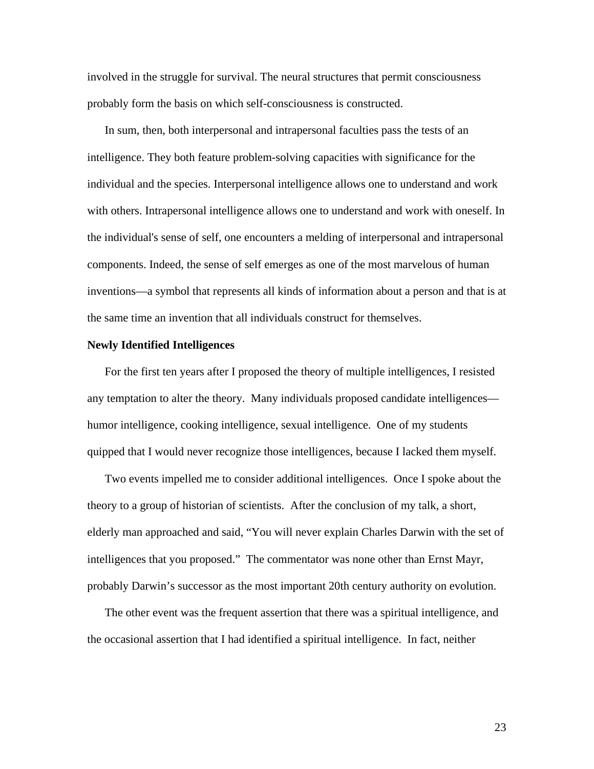involved in the struggle for survival. The neural structures that permit consciousness probably form the basis on which self-consciousness is constructed.

In sum, then, both interpersonal and intrapersonal faculties pass the tests of an intelligence. They both feature problem-solving capacities with significance for the individual and the species. Interpersonal intelligence allows one to understand and work with others. Intrapersonal intelligence allows one to understand and work with oneself. In the individual's sense of self, one encounters a melding of interpersonal and intrapersonal components. Indeed, the sense of self emerges as one of the most marvelous of human inventions—a symbol that represents all kinds of information about a person and that is at the same time an invention that all individuals construct for themselves.

#### **Newly Identified Intelligences**

For the first ten years after I proposed the theory of multiple intelligences, I resisted any temptation to alter the theory. Many individuals proposed candidate intelligences humor intelligence, cooking intelligence, sexual intelligence. One of my students quipped that I would never recognize those intelligences, because I lacked them myself.

Two events impelled me to consider additional intelligences. Once I spoke about the theory to a group of historian of scientists. After the conclusion of my talk, a short, elderly man approached and said, "You will never explain Charles Darwin with the set of intelligences that you proposed." The commentator was none other than Ernst Mayr, probably Darwin's successor as the most important 20th century authority on evolution.

The other event was the frequent assertion that there was a spiritual intelligence, and the occasional assertion that I had identified a spiritual intelligence. In fact, neither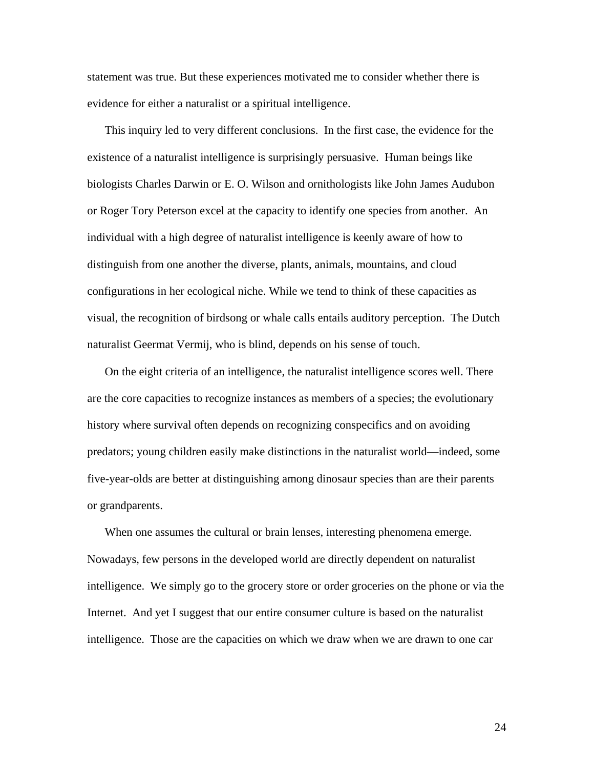statement was true. But these experiences motivated me to consider whether there is evidence for either a naturalist or a spiritual intelligence.

This inquiry led to very different conclusions. In the first case, the evidence for the existence of a naturalist intelligence is surprisingly persuasive. Human beings like biologists Charles Darwin or E. O. Wilson and ornithologists like John James Audubon or Roger Tory Peterson excel at the capacity to identify one species from another. An individual with a high degree of naturalist intelligence is keenly aware of how to distinguish from one another the diverse, plants, animals, mountains, and cloud configurations in her ecological niche. While we tend to think of these capacities as visual, the recognition of birdsong or whale calls entails auditory perception. The Dutch naturalist Geermat Vermij, who is blind, depends on his sense of touch.

On the eight criteria of an intelligence, the naturalist intelligence scores well. There are the core capacities to recognize instances as members of a species; the evolutionary history where survival often depends on recognizing conspecifics and on avoiding predators; young children easily make distinctions in the naturalist world—indeed, some five-year-olds are better at distinguishing among dinosaur species than are their parents or grandparents.

When one assumes the cultural or brain lenses, interesting phenomena emerge. Nowadays, few persons in the developed world are directly dependent on naturalist intelligence. We simply go to the grocery store or order groceries on the phone or via the Internet. And yet I suggest that our entire consumer culture is based on the naturalist intelligence. Those are the capacities on which we draw when we are drawn to one car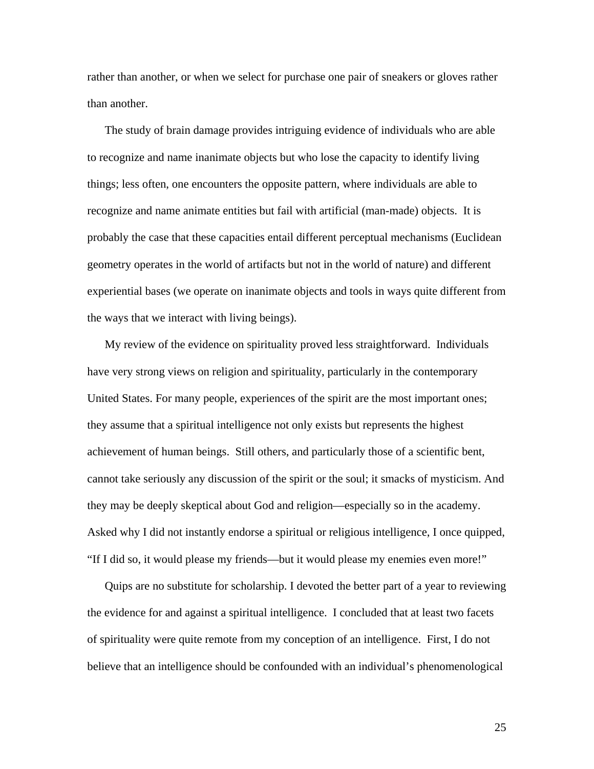rather than another, or when we select for purchase one pair of sneakers or gloves rather than another.

The study of brain damage provides intriguing evidence of individuals who are able to recognize and name inanimate objects but who lose the capacity to identify living things; less often, one encounters the opposite pattern, where individuals are able to recognize and name animate entities but fail with artificial (man-made) objects. It is probably the case that these capacities entail different perceptual mechanisms (Euclidean geometry operates in the world of artifacts but not in the world of nature) and different experiential bases (we operate on inanimate objects and tools in ways quite different from the ways that we interact with living beings).

My review of the evidence on spirituality proved less straightforward. Individuals have very strong views on religion and spirituality, particularly in the contemporary United States. For many people, experiences of the spirit are the most important ones; they assume that a spiritual intelligence not only exists but represents the highest achievement of human beings. Still others, and particularly those of a scientific bent, cannot take seriously any discussion of the spirit or the soul; it smacks of mysticism. And they may be deeply skeptical about God and religion—especially so in the academy. Asked why I did not instantly endorse a spiritual or religious intelligence, I once quipped, "If I did so, it would please my friends—but it would please my enemies even more!"

Quips are no substitute for scholarship. I devoted the better part of a year to reviewing the evidence for and against a spiritual intelligence. I concluded that at least two facets of spirituality were quite remote from my conception of an intelligence. First, I do not believe that an intelligence should be confounded with an individual's phenomenological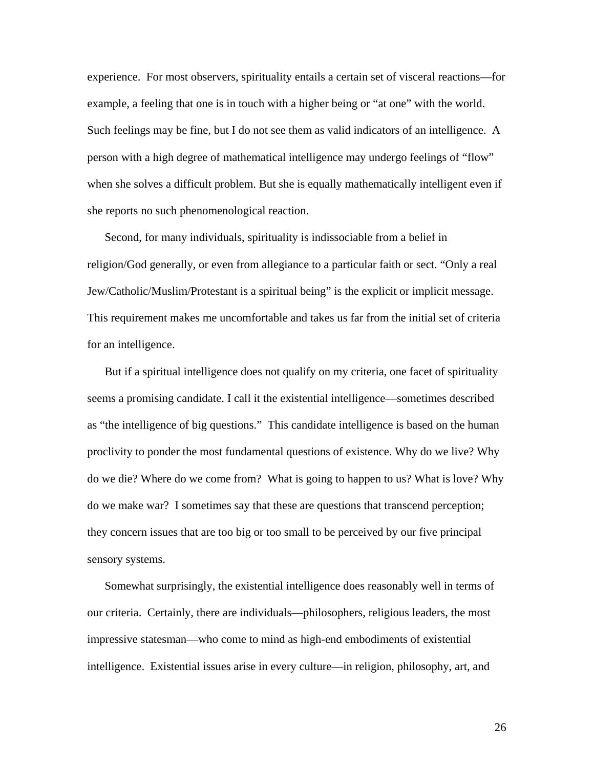experience. For most observers, spirituality entails a certain set of visceral reactions—for example, a feeling that one is in touch with a higher being or "at one" with the world. Such feelings may be fine, but I do not see them as valid indicators of an intelligence. A person with a high degree of mathematical intelligence may undergo feelings of "flow" when she solves a difficult problem. But she is equally mathematically intelligent even if she reports no such phenomenological reaction.

Second, for many individuals, spirituality is indissociable from a belief in religion/God generally, or even from allegiance to a particular faith or sect. "Only a real Jew/Catholic/Muslim/Protestant is a spiritual being" is the explicit or implicit message. This requirement makes me uncomfortable and takes us far from the initial set of criteria for an intelligence.

But if a spiritual intelligence does not qualify on my criteria, one facet of spirituality seems a promising candidate. I call it the existential intelligence—sometimes described as "the intelligence of big questions." This candidate intelligence is based on the human proclivity to ponder the most fundamental questions of existence. Why do we live? Why do we die? Where do we come from? What is going to happen to us? What is love? Why do we make war? I sometimes say that these are questions that transcend perception; they concern issues that are too big or too small to be perceived by our five principal sensory systems.

Somewhat surprisingly, the existential intelligence does reasonably well in terms of our criteria. Certainly, there are individuals—philosophers, religious leaders, the most impressive statesman—who come to mind as high-end embodiments of existential intelligence. Existential issues arise in every culture—in religion, philosophy, art, and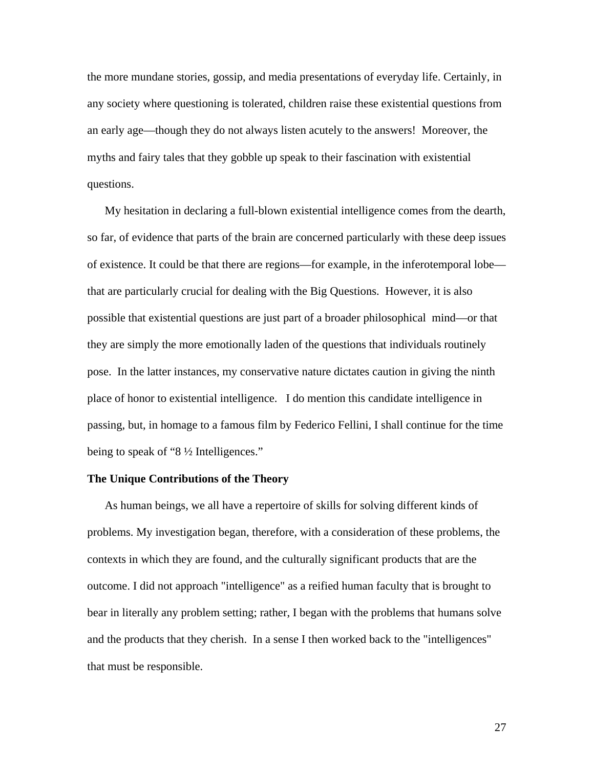the more mundane stories, gossip, and media presentations of everyday life. Certainly, in any society where questioning is tolerated, children raise these existential questions from an early age—though they do not always listen acutely to the answers! Moreover, the myths and fairy tales that they gobble up speak to their fascination with existential questions.

My hesitation in declaring a full-blown existential intelligence comes from the dearth, so far, of evidence that parts of the brain are concerned particularly with these deep issues of existence. It could be that there are regions—for example, in the inferotemporal lobe that are particularly crucial for dealing with the Big Questions. However, it is also possible that existential questions are just part of a broader philosophical mind—or that they are simply the more emotionally laden of the questions that individuals routinely pose. In the latter instances, my conservative nature dictates caution in giving the ninth place of honor to existential intelligence. I do mention this candidate intelligence in passing, but, in homage to a famous film by Federico Fellini, I shall continue for the time being to speak of "8 ½ Intelligences."

# **The Unique Contributions of the Theory**

As human beings, we all have a repertoire of skills for solving different kinds of problems. My investigation began, therefore, with a consideration of these problems, the contexts in which they are found, and the culturally significant products that are the outcome. I did not approach "intelligence" as a reified human faculty that is brought to bear in literally any problem setting; rather, I began with the problems that humans solve and the products that they cherish. In a sense I then worked back to the "intelligences" that must be responsible.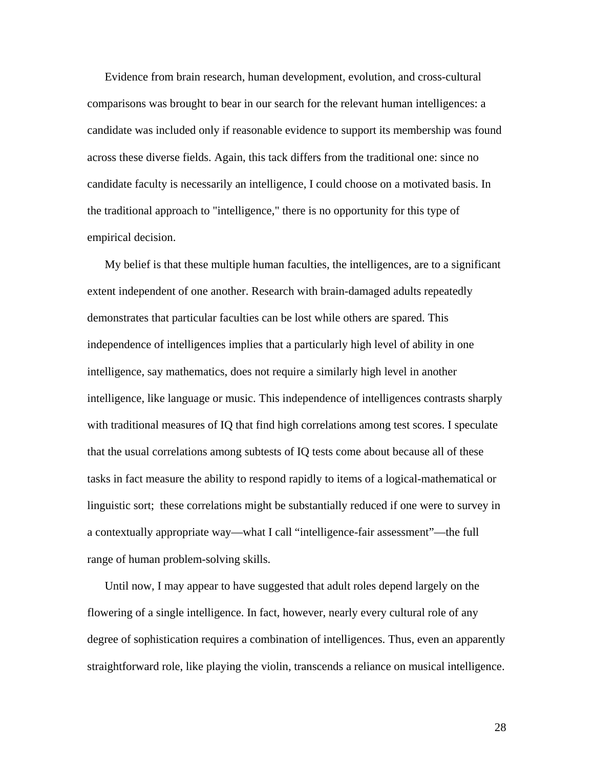Evidence from brain research, human development, evolution, and cross-cultural comparisons was brought to bear in our search for the relevant human intelligences: a candidate was included only if reasonable evidence to support its membership was found across these diverse fields. Again, this tack differs from the traditional one: since no candidate faculty is necessarily an intelligence, I could choose on a motivated basis. In the traditional approach to "intelligence," there is no opportunity for this type of empirical decision.

My belief is that these multiple human faculties, the intelligences, are to a significant extent independent of one another. Research with brain-damaged adults repeatedly demonstrates that particular faculties can be lost while others are spared. This independence of intelligences implies that a particularly high level of ability in one intelligence, say mathematics, does not require a similarly high level in another intelligence, like language or music. This independence of intelligences contrasts sharply with traditional measures of IQ that find high correlations among test scores. I speculate that the usual correlations among subtests of IQ tests come about because all of these tasks in fact measure the ability to respond rapidly to items of a logical-mathematical or linguistic sort; these correlations might be substantially reduced if one were to survey in a contextually appropriate way—what I call "intelligence-fair assessment"—the full range of human problem-solving skills.

Until now, I may appear to have suggested that adult roles depend largely on the flowering of a single intelligence. In fact, however, nearly every cultural role of any degree of sophistication requires a combination of intelligences. Thus, even an apparently straightforward role, like playing the violin, transcends a reliance on musical intelligence.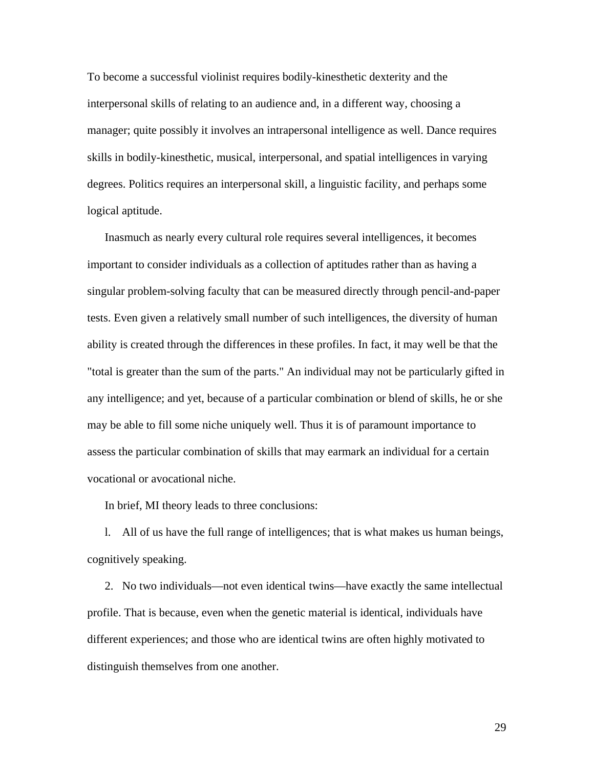To become a successful violinist requires bodily-kinesthetic dexterity and the interpersonal skills of relating to an audience and, in a different way, choosing a manager; quite possibly it involves an intrapersonal intelligence as well. Dance requires skills in bodily-kinesthetic, musical, interpersonal, and spatial intelligences in varying degrees. Politics requires an interpersonal skill, a linguistic facility, and perhaps some logical aptitude.

Inasmuch as nearly every cultural role requires several intelligences, it becomes important to consider individuals as a collection of aptitudes rather than as having a singular problem-solving faculty that can be measured directly through pencil-and-paper tests. Even given a relatively small number of such intelligences, the diversity of human ability is created through the differences in these profiles. In fact, it may well be that the "total is greater than the sum of the parts." An individual may not be particularly gifted in any intelligence; and yet, because of a particular combination or blend of skills, he or she may be able to fill some niche uniquely well. Thus it is of paramount importance to assess the particular combination of skills that may earmark an individual for a certain vocational or avocational niche.

In brief, MI theory leads to three conclusions:

l. All of us have the full range of intelligences; that is what makes us human beings, cognitively speaking.

2. No two individuals—not even identical twins—have exactly the same intellectual profile. That is because, even when the genetic material is identical, individuals have different experiences; and those who are identical twins are often highly motivated to distinguish themselves from one another.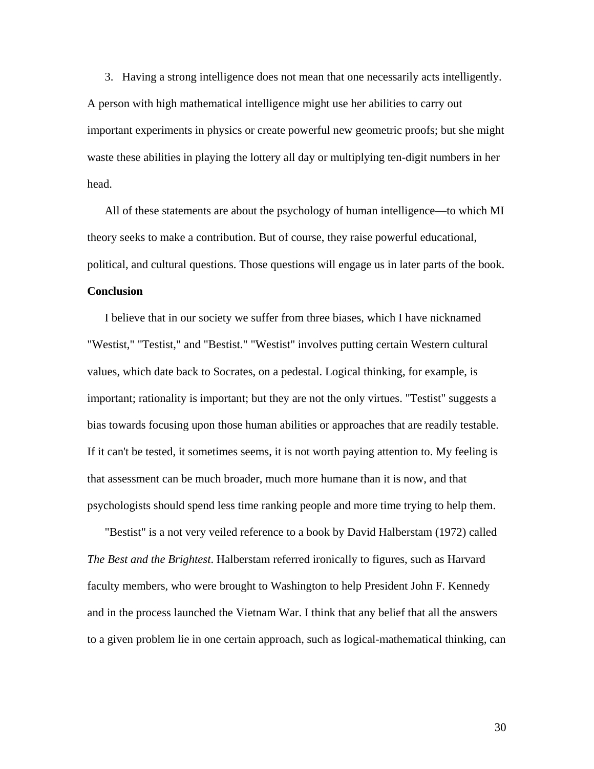3. Having a strong intelligence does not mean that one necessarily acts intelligently. A person with high mathematical intelligence might use her abilities to carry out important experiments in physics or create powerful new geometric proofs; but she might waste these abilities in playing the lottery all day or multiplying ten-digit numbers in her head.

All of these statements are about the psychology of human intelligence—to which MI theory seeks to make a contribution. But of course, they raise powerful educational, political, and cultural questions. Those questions will engage us in later parts of the book.

### **Conclusion**

I believe that in our society we suffer from three biases, which I have nicknamed "Westist," "Testist," and "Bestist." "Westist" involves putting certain Western cultural values, which date back to Socrates, on a pedestal. Logical thinking, for example, is important; rationality is important; but they are not the only virtues. "Testist" suggests a bias towards focusing upon those human abilities or approaches that are readily testable. If it can't be tested, it sometimes seems, it is not worth paying attention to. My feeling is that assessment can be much broader, much more humane than it is now, and that psychologists should spend less time ranking people and more time trying to help them.

"Bestist" is a not very veiled reference to a book by David Halberstam (1972) called *The Best and the Brightest*. Halberstam referred ironically to figures, such as Harvard faculty members, who were brought to Washington to help President John F. Kennedy and in the process launched the Vietnam War. I think that any belief that all the answers to a given problem lie in one certain approach, such as logical-mathematical thinking, can